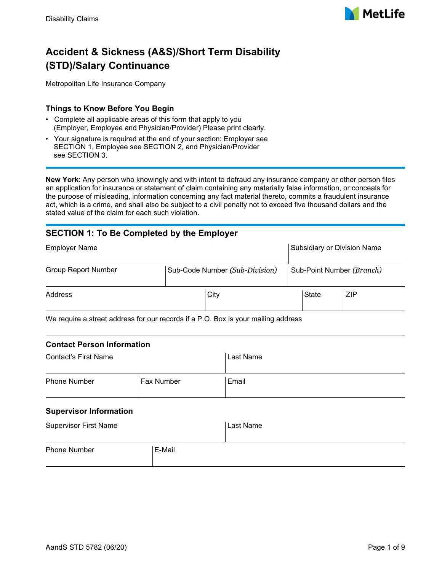

# **Accident & Sickness (A&S)/Short Term Disability (STD)/Salary Continuance**

Metropolitan Life Insurance Company

#### **Things to Know Before You Begin**

- Complete all applicable areas of this form that apply to you (Employer, Employee and Physician/Provider) Please print clearly.
- Your signature is required at the end of your section: Employer see SECTION 1, Employee see SECTION 2, and Physician/Provider see SECTION 3.

**New York**: Any person who knowingly and with intent to defraud any insurance company or other person files an application for insurance or statement of claim containing any materially false information, or conceals for the purpose of misleading, information concerning any fact material thereto, commits a fraudulent insurance act, which is a crime, and shall also be subject to a civil penalty not to exceed five thousand dollars and the stated value of the claim for each such violation.

### **SECTION 1: To Be Completed by the Employer**

| <b>Employer Name</b>       |                                                                                           | Subsidiary or Division Name |
|----------------------------|-------------------------------------------------------------------------------------------|-----------------------------|
| <b>Group Report Number</b> | Sub-Code Number (Sub-Division)                                                            | Sub-Point Number (Branch)   |
| Address                    | City                                                                                      | ZIP<br>State                |
|                            | $M_2$ require a street address for our research if a $D_2$ $D_3$ is veur mailing address. |                             |

We require a street address for our records if a P.O. Box is your mailing address

#### **Contact Person Information**

| Contact's First Name                     |  | Last Name |  |  |
|------------------------------------------|--|-----------|--|--|
| <b>Fax Number</b><br><b>Phone Number</b> |  | Email     |  |  |

#### **Supervisor Information**

| <b>Supervisor First Name</b> |        | Last Name |
|------------------------------|--------|-----------|
| <b>Phone Number</b>          | E-Mail |           |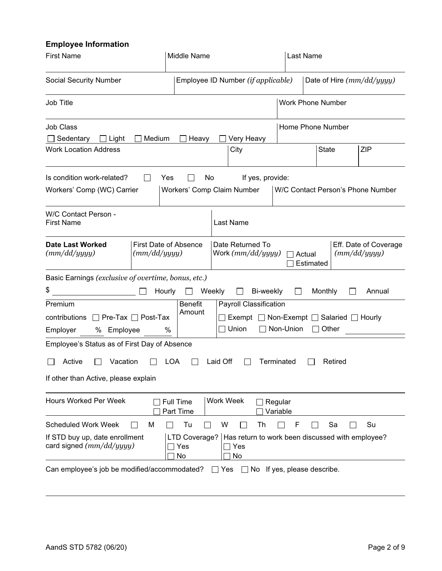### **Employee Information**

| <b>First Name</b>                                                                                                                                                                                    | Middle Name                                   |                                                                                         |                      | Last Name                 |            |  |
|------------------------------------------------------------------------------------------------------------------------------------------------------------------------------------------------------|-----------------------------------------------|-----------------------------------------------------------------------------------------|----------------------|---------------------------|------------|--|
| <b>Social Security Number</b>                                                                                                                                                                        |                                               | Employee ID Number (if applicable)                                                      |                      | Date of Hire (mm/dd/yyyy) |            |  |
| <b>Job Title</b>                                                                                                                                                                                     |                                               |                                                                                         |                      | <b>Work Phone Number</b>  |            |  |
| Job Class<br>Medium<br>Sedentary<br>$\Box$ Light                                                                                                                                                     | Heavy                                         | Very Heavy                                                                              |                      | Home Phone Number         |            |  |
| <b>Work Location Address</b>                                                                                                                                                                         |                                               | City                                                                                    |                      | <b>State</b>              | <b>ZIP</b> |  |
| Is condition work-related?<br>Yes<br>No<br>If yes, provide:<br>W/C Contact Person's Phone Number<br>Workers' Comp (WC) Carrier<br>Workers' Comp Claim Number                                         |                                               |                                                                                         |                      |                           |            |  |
| W/C Contact Person -<br><b>First Name</b>                                                                                                                                                            |                                               | Last Name                                                                               |                      |                           |            |  |
| <b>First Date of Absence</b><br><b>Date Last Worked</b><br>Date Returned To<br>Eff. Date of Coverage<br>(mm/dd/yyyy)<br>(mm/dd/yyyy)<br>(mm/dd/yyyy)<br>Work $(mm/dd/yyyy)$<br>□ Actual<br>Estimated |                                               |                                                                                         |                      |                           |            |  |
| Basic Earnings (exclusive of overtime, bonus, etc.)<br>\$<br>Premium                                                                                                                                 | Weekly<br>Hourly<br>$\perp$<br><b>Benefit</b> | $\perp$<br>Payroll Classification                                                       | Bi-weekly<br>$\perp$ | Monthly<br>$\mathbf{L}$   | Annual     |  |
| $\Box$ Pre-Tax $\Box$ Post-Tax<br>contributions<br>Employer<br>% Employee                                                                                                                            | Amount<br>%                                   | Exempt $\Box$ Non-Exempt $\Box$ Salaried $\Box$ Hourly<br>□ Non-Union<br>Union<br>Other |                      |                           |            |  |
| Employee's Status as of First Day of Absence                                                                                                                                                         |                                               |                                                                                         |                      |                           |            |  |
| Vacation<br>Active                                                                                                                                                                                   | <b>LOA</b>                                    | Laid Off                                                                                | Terminated           | Retired                   |            |  |
| If other than Active, please explain                                                                                                                                                                 |                                               |                                                                                         |                      |                           |            |  |
| <b>Work Week</b><br><b>Hours Worked Per Week</b><br><b>Full Time</b><br>Regular<br>Part Time<br>Variable                                                                                             |                                               |                                                                                         |                      |                           |            |  |
| <b>Scheduled Work Week</b><br>М                                                                                                                                                                      | Tu                                            | W<br>Th                                                                                 | F                    | Sa                        | Su         |  |
| If STD buy up, date enrollment<br>LTD Coverage?<br>Has return to work been discussed with employee?<br>card signed $(mm/dd/yyyy)$<br>Yes<br>Yes<br>No<br>No                                          |                                               |                                                                                         |                      |                           |            |  |
| Can employee's job be modified/accommodated?<br>No If yes, please describe.<br>Yes<br>$\perp$                                                                                                        |                                               |                                                                                         |                      |                           |            |  |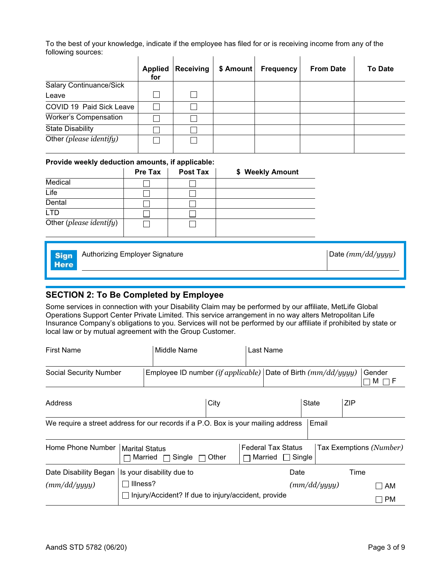To the best of your knowledge, indicate if the employee has filed for or is receiving income from any of the following sources:   $\mathcal{L}_{\rm{max}}$  $\mathbf{r}$  $\mathbf{r}$ 

|                              | <b>Applied</b><br>for | <b>Receiving</b> | \$ Amount | <b>Frequency</b> | <b>From Date</b> | <b>To Date</b> |
|------------------------------|-----------------------|------------------|-----------|------------------|------------------|----------------|
| Salary Continuance/Sick      |                       |                  |           |                  |                  |                |
| Leave                        |                       |                  |           |                  |                  |                |
| COVID 19 Paid Sick Leave     |                       |                  |           |                  |                  |                |
| <b>Worker's Compensation</b> |                       |                  |           |                  |                  |                |
| <b>State Disability</b>      |                       |                  |           |                  |                  |                |
| Other (please identify)      |                       |                  |           |                  |                  |                |

#### **Provide weekly deduction amounts, if applicable:**

|                         | Pre Tax | Post Tax | \$ Weekly Amount |
|-------------------------|---------|----------|------------------|
| Medical                 |         |          |                  |
| Life                    |         |          |                  |
| Dental                  |         |          |                  |
| LTD                     |         |          |                  |
| Other (please identify) |         |          |                  |

| <b>Sign</b><br><b>Here</b> | Authorizing Employer Signature | Date $(mm/dd/yyyy)$ |
|----------------------------|--------------------------------|---------------------|
|                            |                                |                     |

### **SECTION 2: To Be Completed by Employee**

Some services in connection with your Disability Claim may be performed by our affiliate, MetLife Global Operations Support Center Private Limited. This service arrangement in no way alters Metropolitan Life Insurance Company's obligations to you. Services will not be performed by our affiliate if prohibited by state or local law or by mutual agreement with the Group Customer.

| <b>First Name</b>                                                                 |                                  | Middle Name                                                     |       | Last Name                                        |              |              |            |                                |
|-----------------------------------------------------------------------------------|----------------------------------|-----------------------------------------------------------------|-------|--------------------------------------------------|--------------|--------------|------------|--------------------------------|
| <b>Social Security Number</b>                                                     |                                  | Employee ID number (if applicable) Date of Birth $(mm/dd/yyyy)$ |       |                                                  |              |              |            | Gender<br>M<br>ПF              |
| Address                                                                           |                                  |                                                                 | City  |                                                  | <b>State</b> |              | <b>ZIP</b> |                                |
| We require a street address for our records if a P.O. Box is your mailing address |                                  |                                                                 |       |                                                  |              | Email        |            |                                |
| Home Phone Number                                                                 | <b>Marital Status</b><br>Married | Single                                                          | Other | <b>Federal Tax Status</b><br>∣ Single<br>Married |              |              |            | Tax Exemptions (Number)        |
| Date Disability Began                                                             |                                  | Is your disability due to                                       |       | Date                                             |              |              | Time       |                                |
| (mm/dd/yyyy)                                                                      | Illness?                         |                                                                 |       |                                                  |              | (mm/dd/yyyy) |            | AM<br>$\overline{\phantom{a}}$ |
|                                                                                   |                                  | Injury/Accident? If due to injury/accident, provide             |       |                                                  |              |              |            | <b>PM</b>                      |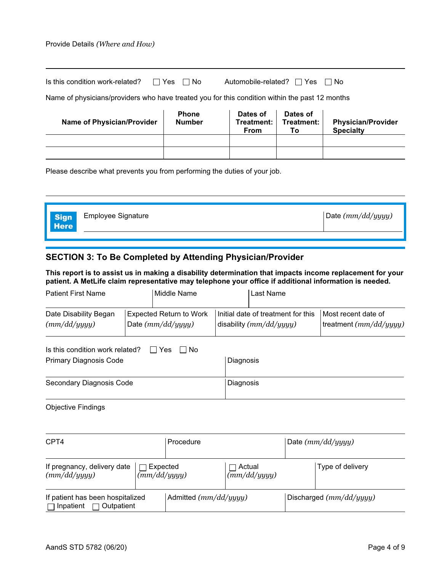#### Provide Details *(Where and How)*

| Is this condition work-related? $\Box$ Yes $\Box$ No | Automobile-related? $\Box$ Yes $\Box$ No |  |
|------------------------------------------------------|------------------------------------------|--|
|                                                      |                                          |  |

Name of physicians/providers who have treated you for this condition within the past 12 months

| <b>Name of Physician/Provider</b> | <b>Phone</b><br><b>Number</b> | Dates of<br>Treatment: I<br>From | Dates of<br>Treatment:<br>Тο | <b>Physician/Provider</b><br><b>Specialty</b> |
|-----------------------------------|-------------------------------|----------------------------------|------------------------------|-----------------------------------------------|
|                                   |                               |                                  |                              |                                               |
|                                   |                               |                                  |                              |                                               |

Please describe what prevents you from performing the duties of your job.

| <b>Sign</b><br><b>Here</b> | <b>Employee Signature</b> | Date $(mm/dd/yyyy)$ |
|----------------------------|---------------------------|---------------------|
|                            |                           |                     |

### **SECTION 3: To Be Completed by Attending Physician/Provider**

**This report is to assist us in making a disability determination that impacts income replacement for your patient. A MetLife claim representative may telephone your office if additional information is needed.**

| <b>Patient First Name</b>                                                                         |  | Middle Name                                                                                                              | Last Name |                                               |  |
|---------------------------------------------------------------------------------------------------|--|--------------------------------------------------------------------------------------------------------------------------|-----------|-----------------------------------------------|--|
| Date Disability Began<br>(mm/dd/yyyy)                                                             |  | Initial date of treatment for this<br><b>Expected Return to Work</b><br>Date $(mm/dd/yyyy)$<br>disability $(mm/dd/yyyy)$ |           | Most recent date of<br>treatment (mm/dd/yyyy) |  |
| Is this condition work related?<br>l Yes<br>⊟ No<br>$\mathbf{I}$<br><b>Primary Diagnosis Code</b> |  | Diagnosis                                                                                                                |           |                                               |  |
| Secondary Diagnosis Code                                                                          |  | Diagnosis                                                                                                                |           |                                               |  |

Objective Findings

| CPT4                                                          |                          | Procedure               |                        | Date $(mm/dd/yyyy)$ |                           |
|---------------------------------------------------------------|--------------------------|-------------------------|------------------------|---------------------|---------------------------|
| If pregnancy, delivery date<br>(mm/dd/yyyy)                   | Expected<br>(mm/dd/yyyy) |                         | Actual<br>(mm/dd/yyyy) |                     | Type of delivery          |
| If patient has been hospitalized<br>Inpatient<br>∣ Outpatient |                          | Admitted $(mm/dd/yyyy)$ |                        |                     | Discharged $(mm/dd/yyyy)$ |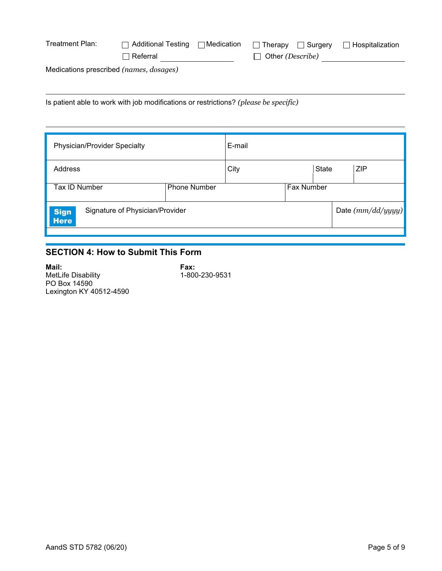| Treatment Plan:                         | $\Box$ Additional Testing $\Box$ Medication |  |                         | <b>Therapy</b> Surgery | $\Box$ Hospitalization |
|-----------------------------------------|---------------------------------------------|--|-------------------------|------------------------|------------------------|
|                                         | $\sqcap$ Referral                           |  | $\Box$ Other (Describe) |                        |                        |
| Medications prescribed (names, dosages) |                                             |  |                         |                        |                        |
|                                         |                                             |  |                         |                        |                        |

Is patient able to work with job modifications or restrictions? *(please be specific)*

| Physician/Provider Specialty                                  |                     | E-mail |            |              |                     |     |
|---------------------------------------------------------------|---------------------|--------|------------|--------------|---------------------|-----|
| Address                                                       |                     | City   |            | <b>State</b> |                     | ZIP |
| Tax ID Number                                                 | <b>Phone Number</b> |        | Fax Number |              |                     |     |
| Signature of Physician/Provider<br><b>Sign</b><br><b>Here</b> |                     |        |            |              | Date $(mm/dd/yyyy)$ |     |
|                                                               |                     |        |            |              |                     |     |

### **SECTION 4: How to Submit This Form**

**Mail: Fax:** MetLife Disability 1-800-230-9531 PO Box 14590 Lexington KY 40512-4590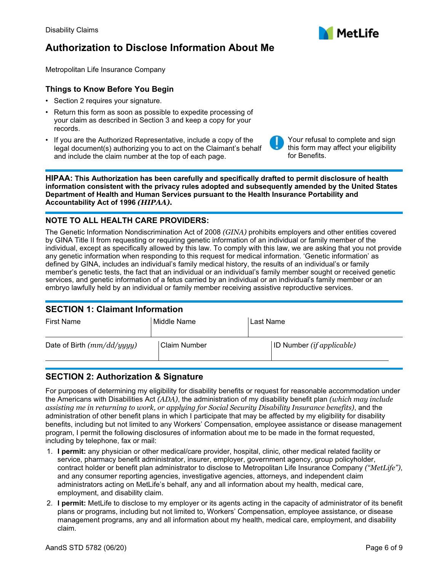## **Authorization to Disclose Information About Me**

Metropolitan Life Insurance Company

#### **Things to Know Before You Begin**

- Section 2 requires your signature.
- Return this form as soon as possible to expedite processing of your claim as described in Section 3 and keep a copy for your records.
- If you are the Authorized Representative, include a copy of the legal document(s) authorizing you to act on the Claimant's behalf and include the claim number at the top of each page.

**HIPAA: This Authorization has been carefully and specifically drafted to permit disclosure of health information consistent with the privacy rules adopted and subsequently amended by the United States Department of Health and Human Services pursuant to the Health Insurance Portability and Accountability Act of 1996** *(HIPAA).*

#### **NOTE TO ALL HEALTH CARE PROVIDERS:**

The Genetic Information Nondiscrimination Act of 2008 *(GINA)* prohibits employers and other entities covered by GINA Title II from requesting or requiring genetic information of an individual or family member of the individual, except as specifically allowed by this law. To comply with this law, we are asking that you not provide any genetic information when responding to this request for medical information. 'Genetic information' as defined by GINA, includes an individual's family medical history, the results of an individual's or family member's genetic tests, the fact that an individual or an individual's family member sought or received genetic services, and genetic information of a fetus carried by an individual or an individual's family member or an embryo lawfully held by an individual or family member receiving assistive reproductive services.

#### **SECTION 1: Claimant Information**

| <b>First Name</b>            | Middle Name    | Last Name                             |  |  |  |
|------------------------------|----------------|---------------------------------------|--|--|--|
| Date of Birth $(mm/dd/yyyy)$ | l Claim Number | $ ID$ Number ( <i>if applicable</i> ) |  |  |  |
|                              |                |                                       |  |  |  |

### **SECTION 2: Authorization & Signature**

For purposes of determining my eligibility for disability benefits or request for reasonable accommodation under the Americans with Disabilities Act *(ADA)*, the administration of my disability benefit plan *(which may include assisting me in returning to work, or applying for Social Security Disability Insurance benefits)*, and the administration of other benefit plans in which I participate that may be affected by my eligibility for disability benefits, including but not limited to any Workers' Compensation, employee assistance or disease management program, I permit the following disclosures of information about me to be made in the format requested, including by telephone, fax or mail:

- 1. **I permit:** any physician or other medical/care provider, hospital, clinic, other medical related facility or service, pharmacy benefit administrator, insurer, employer, government agency, group policyholder, contract holder or benefit plan administrator to disclose to Metropolitan Life Insurance Company *("MetLife")*, and any consumer reporting agencies, investigative agencies, attorneys, and independent claim administrators acting on MetLife's behalf, any and all information about my health, medical care, employment, and disability claim.
- 2. **I permit:** MetLife to disclose to my employer or its agents acting in the capacity of administrator of its benefit plans or programs, including but not limited to, Workers' Compensation, employee assistance, or disease management programs, any and all information about my health, medical care, employment, and disability claim.





Your refusal to complete and sign this form may affect your eligibility for Benefits.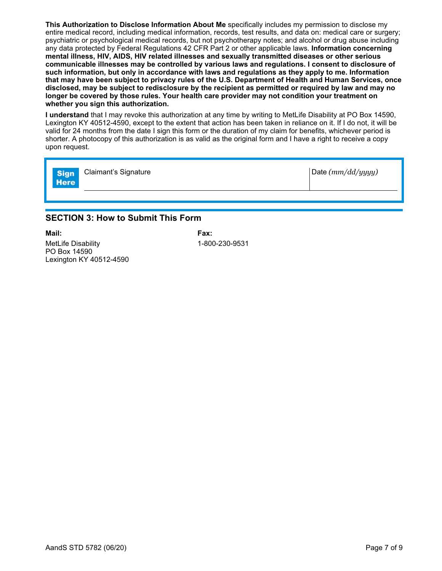**This Authorization to Disclose Information About Me** specifically includes my permission to disclose my entire medical record, including medical information, records, test results, and data on: medical care or surgery; psychiatric or psychological medical records, but not psychotherapy notes; and alcohol or drug abuse including any data protected by Federal Regulations 42 CFR Part 2 or other applicable laws. **Information concerning mental illness, HIV, AIDS, HIV related illnesses and sexually transmitted diseases or other serious communicable illnesses may be controlled by various laws and regulations. I consent to disclosure of such information, but only in accordance with laws and regulations as they apply to me. Information that may have been subject to privacy rules of the U.S. Department of Health and Human Services, once disclosed, may be subject to redisclosure by the recipient as permitted or required by law and may no longer be covered by those rules. Your health care provider may not condition your treatment on whether you sign this authorization.**

**I understand** that I may revoke this authorization at any time by writing to MetLife Disability at PO Box 14590, Lexington KY 40512-4590, except to the extent that action has been taken in reliance on it. If I do not, it will be valid for 24 months from the date I sign this form or the duration of my claim for benefits, whichever period is shorter. A photocopy of this authorization is as valid as the original form and I have a right to receive a copy upon request.

| <b>Sign</b><br><b>Here</b> | Claimant's Signature | Date $(mm/dd/yyyy)$ |
|----------------------------|----------------------|---------------------|
|                            |                      |                     |

### **SECTION 3: How to Submit This Form**

**Mail: Fax:** MetLife Disability 1-800-230-9531 PO Box 14590 Lexington KY 40512-4590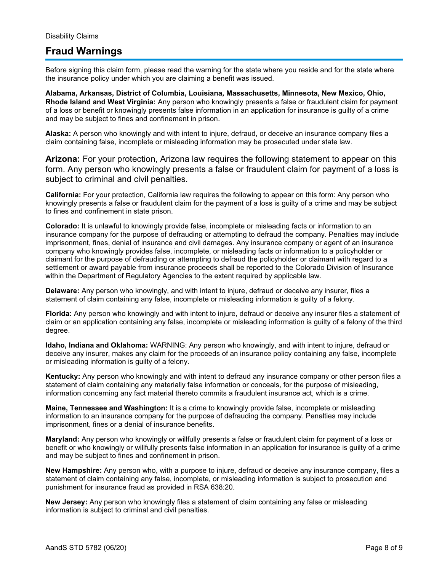## **Fraud Warnings**

Before signing this claim form, please read the warning for the state where you reside and for the state where the insurance policy under which you are claiming a benefit was issued.

**Alabama, Arkansas, District of Columbia, Louisiana, Massachusetts, Minnesota, New Mexico, Ohio, Rhode Island and West Virginia:** Any person who knowingly presents a false or fraudulent claim for payment of a loss or benefit or knowingly presents false information in an application for insurance is guilty of a crime and may be subject to fines and confinement in prison.

**Alaska:** A person who knowingly and with intent to injure, defraud, or deceive an insurance company files a claim containing false, incomplete or misleading information may be prosecuted under state law.

**Arizona:** For your protection, Arizona law requires the following statement to appear on this form. Any person who knowingly presents a false or fraudulent claim for payment of a loss is subject to criminal and civil penalties.

**California:** For your protection, California law requires the following to appear on this form: Any person who knowingly presents a false or fraudulent claim for the payment of a loss is guilty of a crime and may be subject to fines and confinement in state prison.

**Colorado:** It is unlawful to knowingly provide false, incomplete or misleading facts or information to an insurance company for the purpose of defrauding or attempting to defraud the company. Penalties may include imprisonment, fines, denial of insurance and civil damages. Any insurance company or agent of an insurance company who knowingly provides false, incomplete, or misleading facts or information to a policyholder or claimant for the purpose of defrauding or attempting to defraud the policyholder or claimant with regard to a settlement or award payable from insurance proceeds shall be reported to the Colorado Division of Insurance within the Department of Regulatory Agencies to the extent required by applicable law.

**Delaware:** Any person who knowingly, and with intent to injure, defraud or deceive any insurer, files a statement of claim containing any false, incomplete or misleading information is guilty of a felony.

**Florida:** Any person who knowingly and with intent to injure, defraud or deceive any insurer files a statement of claim or an application containing any false, incomplete or misleading information is guilty of a felony of the third degree.

**Idaho, Indiana and Oklahoma:** WARNING: Any person who knowingly, and with intent to injure, defraud or deceive any insurer, makes any claim for the proceeds of an insurance policy containing any false, incomplete or misleading information is guilty of a felony.

**Kentucky:** Any person who knowingly and with intent to defraud any insurance company or other person files a statement of claim containing any materially false information or conceals, for the purpose of misleading, information concerning any fact material thereto commits a fraudulent insurance act, which is a crime.

**Maine, Tennessee and Washington:** It is a crime to knowingly provide false, incomplete or misleading information to an insurance company for the purpose of defrauding the company. Penalties may include imprisonment, fines or a denial of insurance benefits.

**Maryland:** Any person who knowingly or willfully presents a false or fraudulent claim for payment of a loss or benefit or who knowingly or willfully presents false information in an application for insurance is guilty of a crime and may be subject to fines and confinement in prison.

**New Hampshire:** Any person who, with a purpose to injure, defraud or deceive any insurance company, files a statement of claim containing any false, incomplete, or misleading information is subject to prosecution and punishment for insurance fraud as provided in RSA 638:20.

**New Jersey:** Any person who knowingly files a statement of claim containing any false or misleading information is subject to criminal and civil penalties.